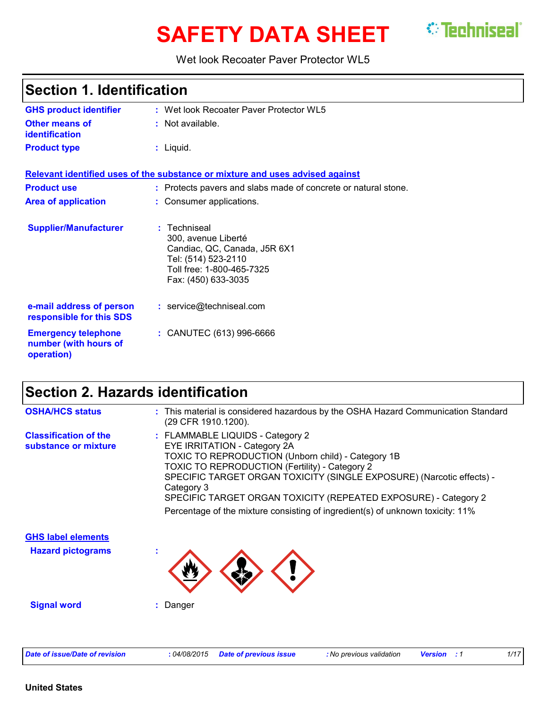# **SAFETY DATA SHEET** <sup>*©*</sup> Techniseal`</sup>

Wet look Recoater Paver Protector WL5

| <b>Section 1. Identification</b>                                  |                                                                                                                                                |  |
|-------------------------------------------------------------------|------------------------------------------------------------------------------------------------------------------------------------------------|--|
| <b>GHS product identifier</b>                                     | : Wet look Recoater Paver Protector WL5                                                                                                        |  |
| Other means of<br><b>identification</b>                           | $:$ Not available.                                                                                                                             |  |
| <b>Product type</b>                                               | $:$ Liquid.                                                                                                                                    |  |
|                                                                   | Relevant identified uses of the substance or mixture and uses advised against                                                                  |  |
| <b>Product use</b>                                                | : Protects pavers and slabs made of concrete or natural stone.                                                                                 |  |
| <b>Area of application</b>                                        | : Consumer applications.                                                                                                                       |  |
| <b>Supplier/Manufacturer</b>                                      | : Techniseal<br>300, avenue Liberté<br>Candiac, QC, Canada, J5R 6X1<br>Tel: (514) 523-2110<br>Toll free: 1-800-465-7325<br>Fax: (450) 633-3035 |  |
| e-mail address of person<br>responsible for this SDS              | : service@techniseal.com                                                                                                                       |  |
| <b>Emergency telephone</b><br>number (with hours of<br>operation) | : CANUTEC (613) 996-6666                                                                                                                       |  |

# **Section 2. Hazards identification**

| <b>OSHA/HCS status</b>                               | This material is considered hazardous by the OSHA Hazard Communication Standard<br>(29 CFR 1910.1200).                                                                                                                                                                                                                                                                                                                      |
|------------------------------------------------------|-----------------------------------------------------------------------------------------------------------------------------------------------------------------------------------------------------------------------------------------------------------------------------------------------------------------------------------------------------------------------------------------------------------------------------|
| <b>Classification of the</b><br>substance or mixture | : FLAMMABLE LIQUIDS - Category 2<br>EYE IRRITATION - Category 2A<br>TOXIC TO REPRODUCTION (Unborn child) - Category 1B<br><b>TOXIC TO REPRODUCTION (Fertility) - Category 2</b><br>SPECIFIC TARGET ORGAN TOXICITY (SINGLE EXPOSURE) (Narcotic effects) -<br>Category 3<br>SPECIFIC TARGET ORGAN TOXICITY (REPEATED EXPOSURE) - Category 2<br>Percentage of the mixture consisting of ingredient(s) of unknown toxicity: 11% |
| <b>GHS label elements</b>                            |                                                                                                                                                                                                                                                                                                                                                                                                                             |
| <b>Hazard pictograms</b>                             |                                                                                                                                                                                                                                                                                                                                                                                                                             |
| <b>Signal word</b>                                   | Danger                                                                                                                                                                                                                                                                                                                                                                                                                      |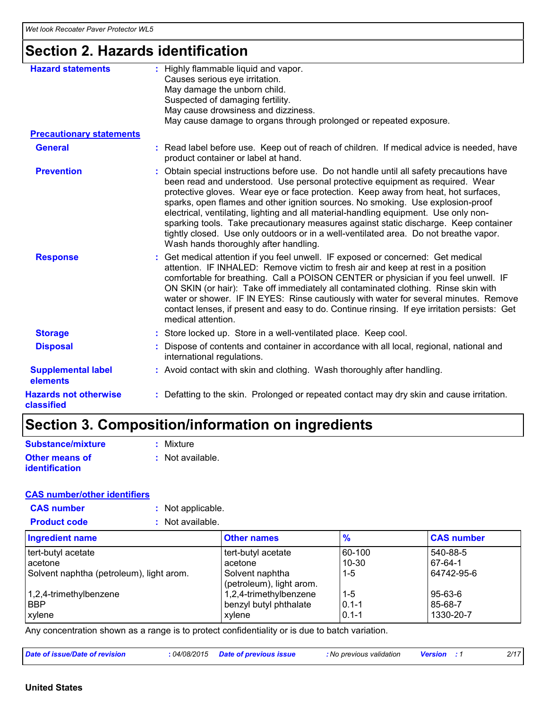# **Section 2. Hazards identification**

| <b>Hazard statements</b>                   | : Highly flammable liquid and vapor.<br>Causes serious eye irritation.<br>May damage the unborn child.<br>Suspected of damaging fertility.<br>May cause drowsiness and dizziness.<br>May cause damage to organs through prolonged or repeated exposure.                                                                                                                                                                                                                                                                                                                                                                                                               |
|--------------------------------------------|-----------------------------------------------------------------------------------------------------------------------------------------------------------------------------------------------------------------------------------------------------------------------------------------------------------------------------------------------------------------------------------------------------------------------------------------------------------------------------------------------------------------------------------------------------------------------------------------------------------------------------------------------------------------------|
| <b>Precautionary statements</b>            |                                                                                                                                                                                                                                                                                                                                                                                                                                                                                                                                                                                                                                                                       |
| <b>General</b>                             | : Read label before use. Keep out of reach of children. If medical advice is needed, have<br>product container or label at hand.                                                                                                                                                                                                                                                                                                                                                                                                                                                                                                                                      |
| <b>Prevention</b>                          | : Obtain special instructions before use. Do not handle until all safety precautions have<br>been read and understood. Use personal protective equipment as required. Wear<br>protective gloves. Wear eye or face protection. Keep away from heat, hot surfaces,<br>sparks, open flames and other ignition sources. No smoking. Use explosion-proof<br>electrical, ventilating, lighting and all material-handling equipment. Use only non-<br>sparking tools. Take precautionary measures against static discharge. Keep container<br>tightly closed. Use only outdoors or in a well-ventilated area. Do not breathe vapor.<br>Wash hands thoroughly after handling. |
| <b>Response</b>                            | : Get medical attention if you feel unwell. IF exposed or concerned: Get medical<br>attention. IF INHALED: Remove victim to fresh air and keep at rest in a position<br>comfortable for breathing. Call a POISON CENTER or physician if you feel unwell. IF<br>ON SKIN (or hair): Take off immediately all contaminated clothing. Rinse skin with<br>water or shower. IF IN EYES: Rinse cautiously with water for several minutes. Remove<br>contact lenses, if present and easy to do. Continue rinsing. If eye irritation persists: Get<br>medical attention.                                                                                                       |
| <b>Storage</b>                             | : Store locked up. Store in a well-ventilated place. Keep cool.                                                                                                                                                                                                                                                                                                                                                                                                                                                                                                                                                                                                       |
| <b>Disposal</b>                            | : Dispose of contents and container in accordance with all local, regional, national and<br>international regulations.                                                                                                                                                                                                                                                                                                                                                                                                                                                                                                                                                |
| <b>Supplemental label</b><br>elements      | : Avoid contact with skin and clothing. Wash thoroughly after handling.                                                                                                                                                                                                                                                                                                                                                                                                                                                                                                                                                                                               |
| <b>Hazards not otherwise</b><br>classified | : Defatting to the skin. Prolonged or repeated contact may dry skin and cause irritation.                                                                                                                                                                                                                                                                                                                                                                                                                                                                                                                                                                             |

# **Section 3. Composition/information on ingredients**

| Substance/mixture     | : Mixture        |
|-----------------------|------------------|
| <b>Other means of</b> | : Not available. |
| <b>identification</b> |                  |

#### **CAS number/other identifiers**

| <b>CAS number</b><br>: Not applicable.   |                                             |               |                   |
|------------------------------------------|---------------------------------------------|---------------|-------------------|
| <b>Product code</b><br>: Not available.  |                                             |               |                   |
| <b>Ingredient name</b>                   | <b>Other names</b>                          | $\frac{1}{2}$ | <b>CAS number</b> |
| tert-butyl acetate                       | tert-butyl acetate                          | 60-100        | 540-88-5          |
| acetone                                  | acetone                                     | $10-30$       | 67-64-1           |
| Solvent naphtha (petroleum), light arom. | Solvent naphtha<br>(petroleum), light arom. | $1 - 5$       | 64742-95-6        |
| 1,2,4-trimethylbenzene                   | 1,2,4-trimethylbenzene                      | l 1-5         | 95-63-6           |
| <b>BBP</b>                               | benzyl butyl phthalate                      | $0.1 - 1$     | 85-68-7           |
| xylene                                   | xylene                                      | $0.1 - 1$     | 1330-20-7         |

Any concentration shown as a range is to protect confidentiality or is due to batch variation.

| Date of issue/Date of revision | : 04/08/2015 Date of previous issue | : No previous validation | <b>Version</b> : 1 | 2/17 |
|--------------------------------|-------------------------------------|--------------------------|--------------------|------|
|--------------------------------|-------------------------------------|--------------------------|--------------------|------|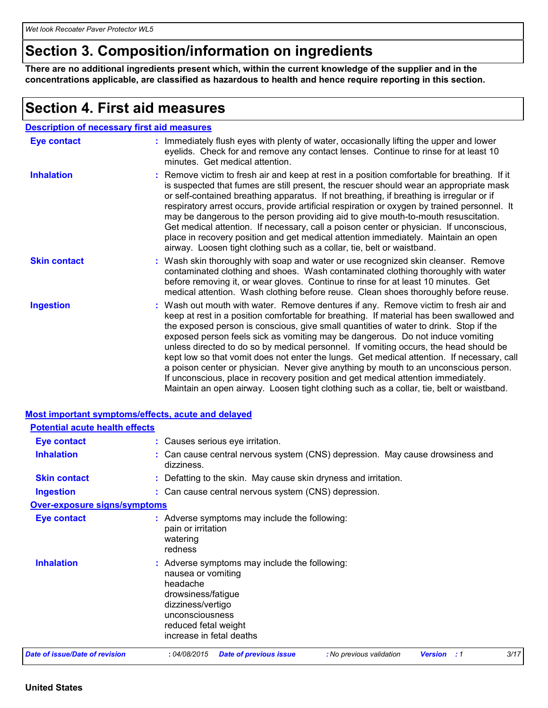### **Section 3. Composition/information on ingredients**

**There are no additional ingredients present which, within the current knowledge of the supplier and in the concentrations applicable, are classified as hazardous to health and hence require reporting in this section.**

### **Section 4. First aid measures**

| <b>Description of necessary first aid measures</b> |                                                                                                                                                                                                                                                                                                                                                                                                                                                                                                                                                                                                                                                                                                                                                                                                                            |
|----------------------------------------------------|----------------------------------------------------------------------------------------------------------------------------------------------------------------------------------------------------------------------------------------------------------------------------------------------------------------------------------------------------------------------------------------------------------------------------------------------------------------------------------------------------------------------------------------------------------------------------------------------------------------------------------------------------------------------------------------------------------------------------------------------------------------------------------------------------------------------------|
| <b>Eye contact</b>                                 | : Immediately flush eyes with plenty of water, occasionally lifting the upper and lower<br>eyelids. Check for and remove any contact lenses. Continue to rinse for at least 10<br>minutes. Get medical attention.                                                                                                                                                                                                                                                                                                                                                                                                                                                                                                                                                                                                          |
| <b>Inhalation</b>                                  | : Remove victim to fresh air and keep at rest in a position comfortable for breathing. If it<br>is suspected that fumes are still present, the rescuer should wear an appropriate mask<br>or self-contained breathing apparatus. If not breathing, if breathing is irregular or if<br>respiratory arrest occurs, provide artificial respiration or oxygen by trained personnel. It<br>may be dangerous to the person providing aid to give mouth-to-mouth resuscitation.<br>Get medical attention. If necessary, call a poison center or physician. If unconscious,<br>place in recovery position and get medical attention immediately. Maintain an open<br>airway. Loosen tight clothing such as a collar, tie, belt or waistband.                                                                                       |
| <b>Skin contact</b>                                | : Wash skin thoroughly with soap and water or use recognized skin cleanser. Remove<br>contaminated clothing and shoes. Wash contaminated clothing thoroughly with water<br>before removing it, or wear gloves. Continue to rinse for at least 10 minutes. Get<br>medical attention. Wash clothing before reuse. Clean shoes thoroughly before reuse.                                                                                                                                                                                                                                                                                                                                                                                                                                                                       |
| <b>Ingestion</b>                                   | : Wash out mouth with water. Remove dentures if any. Remove victim to fresh air and<br>keep at rest in a position comfortable for breathing. If material has been swallowed and<br>the exposed person is conscious, give small quantities of water to drink. Stop if the<br>exposed person feels sick as vomiting may be dangerous. Do not induce vomiting<br>unless directed to do so by medical personnel. If vomiting occurs, the head should be<br>kept low so that vomit does not enter the lungs. Get medical attention. If necessary, call<br>a poison center or physician. Never give anything by mouth to an unconscious person.<br>If unconscious, place in recovery position and get medical attention immediately.<br>Maintain an open airway. Loosen tight clothing such as a collar, tie, belt or waistband. |

|                                       | <b>Most important symptoms/effects, acute and delayed</b>                                                                                                                                         |
|---------------------------------------|---------------------------------------------------------------------------------------------------------------------------------------------------------------------------------------------------|
| <b>Potential acute health effects</b> |                                                                                                                                                                                                   |
| <b>Eye contact</b>                    | : Causes serious eye irritation.                                                                                                                                                                  |
| <b>Inhalation</b>                     | : Can cause central nervous system (CNS) depression. May cause drowsiness and<br>dizziness.                                                                                                       |
| <b>Skin contact</b>                   | : Defatting to the skin. May cause skin dryness and irritation.                                                                                                                                   |
| <b>Ingestion</b>                      | : Can cause central nervous system (CNS) depression.                                                                                                                                              |
| Over-exposure signs/symptoms          |                                                                                                                                                                                                   |
| <b>Eye contact</b>                    | : Adverse symptoms may include the following:<br>pain or irritation<br>watering<br>redness                                                                                                        |
| <b>Inhalation</b>                     | : Adverse symptoms may include the following:<br>nausea or vomiting<br>headache<br>drowsiness/fatigue<br>dizziness/vertigo<br>unconsciousness<br>reduced fetal weight<br>increase in fetal deaths |
| <b>Date of issue/Date of revision</b> | 3/17<br>:04/08/2015<br><b>Date of previous issue</b><br>: No previous validation<br>Version<br>: 1                                                                                                |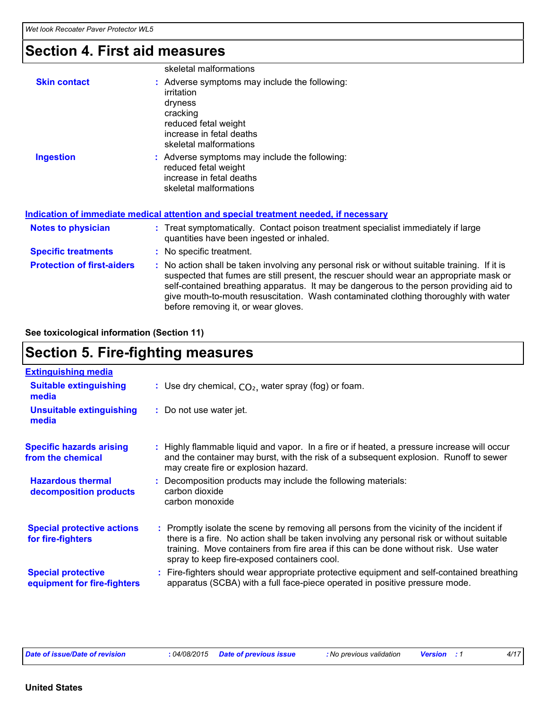### **Section 4. First aid measures**

|                                   | skeletal malformations                                                                                                                                                                                                                                                                                                                                                   |
|-----------------------------------|--------------------------------------------------------------------------------------------------------------------------------------------------------------------------------------------------------------------------------------------------------------------------------------------------------------------------------------------------------------------------|
| <b>Skin contact</b>               | : Adverse symptoms may include the following:<br>irritation<br>dryness<br>cracking<br>reduced fetal weight<br>increase in fetal deaths<br>skeletal malformations                                                                                                                                                                                                         |
| <b>Ingestion</b>                  | : Adverse symptoms may include the following:<br>reduced fetal weight<br>increase in fetal deaths<br>skeletal malformations                                                                                                                                                                                                                                              |
|                                   | Indication of immediate medical attention and special treatment needed, if necessary                                                                                                                                                                                                                                                                                     |
| <b>Notes to physician</b>         | : Treat symptomatically. Contact poison treatment specialist immediately if large<br>quantities have been ingested or inhaled.                                                                                                                                                                                                                                           |
| <b>Specific treatments</b>        | : No specific treatment.                                                                                                                                                                                                                                                                                                                                                 |
| <b>Protection of first-aiders</b> | : No action shall be taken involving any personal risk or without suitable training. If it is<br>suspected that fumes are still present, the rescuer should wear an appropriate mask or<br>self-contained breathing apparatus. It may be dangerous to the person providing aid to<br>give mouth-to-mouth resuscitation. Wash contaminated clothing thoroughly with water |

before removing it, or wear gloves.

**See toxicological information (Section 11)**

### **Section 5. Fire-fighting measures**

| <b>Extinguishing media</b>                               |                                                                                                                                                                                                                                                                                                                               |
|----------------------------------------------------------|-------------------------------------------------------------------------------------------------------------------------------------------------------------------------------------------------------------------------------------------------------------------------------------------------------------------------------|
| <b>Suitable extinguishing</b><br>media                   | : Use dry chemical, $CO2$ , water spray (fog) or foam.                                                                                                                                                                                                                                                                        |
| <b>Unsuitable extinguishing</b><br>media                 | : Do not use water jet.                                                                                                                                                                                                                                                                                                       |
| <b>Specific hazards arising</b><br>from the chemical     | : Highly flammable liquid and vapor. In a fire or if heated, a pressure increase will occur<br>and the container may burst, with the risk of a subsequent explosion. Runoff to sewer<br>may create fire or explosion hazard.                                                                                                  |
| <b>Hazardous thermal</b><br>decomposition products       | : Decomposition products may include the following materials:<br>carbon dioxide<br>carbon monoxide                                                                                                                                                                                                                            |
| <b>Special protective actions</b><br>for fire-fighters   | : Promptly isolate the scene by removing all persons from the vicinity of the incident if<br>there is a fire. No action shall be taken involving any personal risk or without suitable<br>training. Move containers from fire area if this can be done without risk. Use water<br>spray to keep fire-exposed containers cool. |
| <b>Special protective</b><br>equipment for fire-fighters | : Fire-fighters should wear appropriate protective equipment and self-contained breathing<br>apparatus (SCBA) with a full face-piece operated in positive pressure mode.                                                                                                                                                      |

*Date of issue/Date of revision* **:** *04/08/2015 Date of previous issue : No previous validation Version : 1 4/17*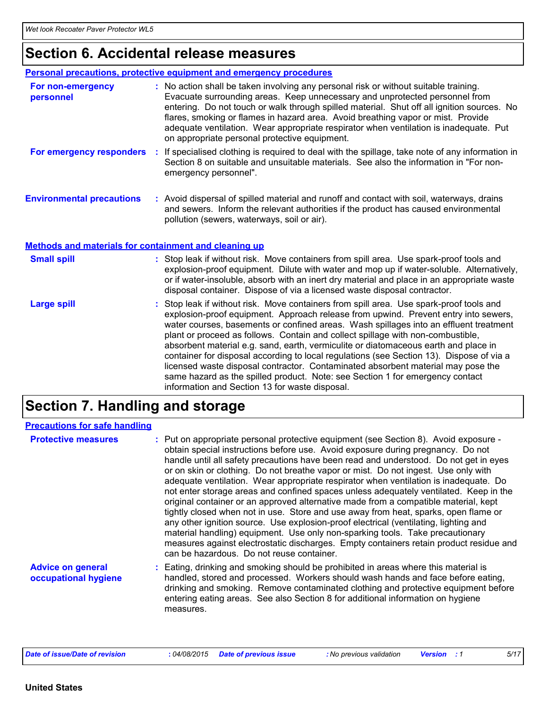# **Section 6. Accidental release measures**

|                                                              | Personal precautions, protective equipment and emergency procedures                                                                                                                                                                                                                                                                                                                                                                                                                                                                                                                                                                                                                                                |
|--------------------------------------------------------------|--------------------------------------------------------------------------------------------------------------------------------------------------------------------------------------------------------------------------------------------------------------------------------------------------------------------------------------------------------------------------------------------------------------------------------------------------------------------------------------------------------------------------------------------------------------------------------------------------------------------------------------------------------------------------------------------------------------------|
| For non-emergency<br>personnel                               | : No action shall be taken involving any personal risk or without suitable training.<br>Evacuate surrounding areas. Keep unnecessary and unprotected personnel from<br>entering. Do not touch or walk through spilled material. Shut off all ignition sources. No<br>flares, smoking or flames in hazard area. Avoid breathing vapor or mist. Provide<br>adequate ventilation. Wear appropriate respirator when ventilation is inadequate. Put<br>on appropriate personal protective equipment.                                                                                                                                                                                                                    |
| For emergency responders                                     | : If specialised clothing is required to deal with the spillage, take note of any information in<br>Section 8 on suitable and unsuitable materials. See also the information in "For non-<br>emergency personnel".                                                                                                                                                                                                                                                                                                                                                                                                                                                                                                 |
| <b>Environmental precautions</b>                             | : Avoid dispersal of spilled material and runoff and contact with soil, waterways, drains<br>and sewers. Inform the relevant authorities if the product has caused environmental<br>pollution (sewers, waterways, soil or air).                                                                                                                                                                                                                                                                                                                                                                                                                                                                                    |
| <b>Methods and materials for containment and cleaning up</b> |                                                                                                                                                                                                                                                                                                                                                                                                                                                                                                                                                                                                                                                                                                                    |
| <b>Small spill</b>                                           | : Stop leak if without risk. Move containers from spill area. Use spark-proof tools and<br>explosion-proof equipment. Dilute with water and mop up if water-soluble. Alternatively,<br>or if water-insoluble, absorb with an inert dry material and place in an appropriate waste<br>disposal container. Dispose of via a licensed waste disposal contractor.                                                                                                                                                                                                                                                                                                                                                      |
| <b>Large spill</b>                                           | : Stop leak if without risk. Move containers from spill area. Use spark-proof tools and<br>explosion-proof equipment. Approach release from upwind. Prevent entry into sewers,<br>water courses, basements or confined areas. Wash spillages into an effluent treatment<br>plant or proceed as follows. Contain and collect spillage with non-combustible,<br>absorbent material e.g. sand, earth, vermiculite or diatomaceous earth and place in<br>container for disposal according to local regulations (see Section 13). Dispose of via a<br>licensed waste disposal contractor. Contaminated absorbent material may pose the<br>same hazard as the spilled product. Note: see Section 1 for emergency contact |

# **Section 7. Handling and storage**

| <b>Precautions for safe handling</b>             |                                                                                                                                                                                                                                                                                                                                                                                                                                                                                                                                                                                                                                                                                                                                                                                                                                                                                                                                                                                                                                       |
|--------------------------------------------------|---------------------------------------------------------------------------------------------------------------------------------------------------------------------------------------------------------------------------------------------------------------------------------------------------------------------------------------------------------------------------------------------------------------------------------------------------------------------------------------------------------------------------------------------------------------------------------------------------------------------------------------------------------------------------------------------------------------------------------------------------------------------------------------------------------------------------------------------------------------------------------------------------------------------------------------------------------------------------------------------------------------------------------------|
| <b>Protective measures</b>                       | : Put on appropriate personal protective equipment (see Section 8). Avoid exposure -<br>obtain special instructions before use. Avoid exposure during pregnancy. Do not<br>handle until all safety precautions have been read and understood. Do not get in eyes<br>or on skin or clothing. Do not breathe vapor or mist. Do not ingest. Use only with<br>adequate ventilation. Wear appropriate respirator when ventilation is inadequate. Do<br>not enter storage areas and confined spaces unless adequately ventilated. Keep in the<br>original container or an approved alternative made from a compatible material, kept<br>tightly closed when not in use. Store and use away from heat, sparks, open flame or<br>any other ignition source. Use explosion-proof electrical (ventilating, lighting and<br>material handling) equipment. Use only non-sparking tools. Take precautionary<br>measures against electrostatic discharges. Empty containers retain product residue and<br>can be hazardous. Do not reuse container. |
| <b>Advice on general</b><br>occupational hygiene | : Eating, drinking and smoking should be prohibited in areas where this material is<br>handled, stored and processed. Workers should wash hands and face before eating,<br>drinking and smoking. Remove contaminated clothing and protective equipment before<br>entering eating areas. See also Section 8 for additional information on hygiene<br>measures.                                                                                                                                                                                                                                                                                                                                                                                                                                                                                                                                                                                                                                                                         |

information and Section 13 for waste disposal.

| Date of issue/Date of revision | : 04/08/2015 Date of previous issue | : No previous validation | <b>Version</b> : 1 | 5/17 |
|--------------------------------|-------------------------------------|--------------------------|--------------------|------|
|--------------------------------|-------------------------------------|--------------------------|--------------------|------|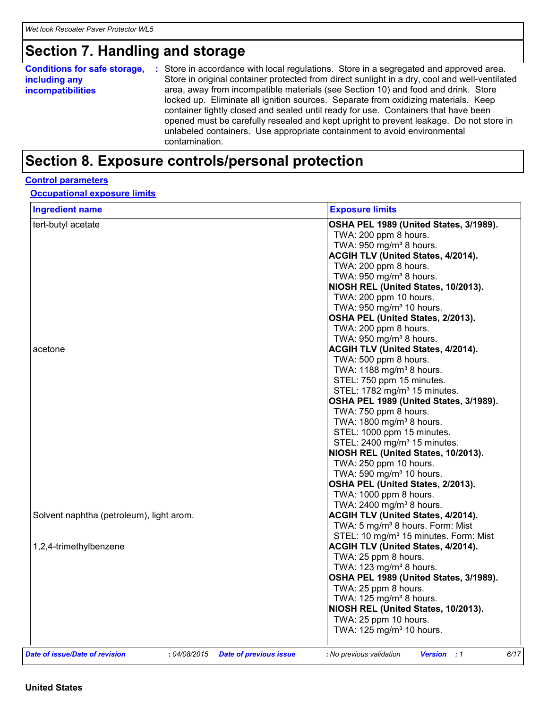### **Section 7. Handling and storage**

| <b>Conditions for safe storage,</b><br>including any<br><i>incompatibilities</i> | : Store in accordance with local regulations. Store in a segregated and approved area.<br>Store in original container protected from direct sunlight in a dry, cool and well-ventilated<br>area, away from incompatible materials (see Section 10) and food and drink. Store<br>locked up. Eliminate all ignition sources. Separate from oxidizing materials. Keep<br>container tightly closed and sealed until ready for use. Containers that have been<br>opened must be carefully resealed and kept upright to prevent leakage. Do not store in<br>unlabeled containers. Use appropriate containment to avoid environmental |
|----------------------------------------------------------------------------------|--------------------------------------------------------------------------------------------------------------------------------------------------------------------------------------------------------------------------------------------------------------------------------------------------------------------------------------------------------------------------------------------------------------------------------------------------------------------------------------------------------------------------------------------------------------------------------------------------------------------------------|
|                                                                                  | contamination.                                                                                                                                                                                                                                                                                                                                                                                                                                                                                                                                                                                                                 |

# **Section 8. Exposure controls/personal protection**

#### **Control parameters**

**Occupational exposure limits**

| <b>Ingredient name</b>                   | <b>Exposure limits</b>                                        |
|------------------------------------------|---------------------------------------------------------------|
| tert-butyl acetate                       | OSHA PEL 1989 (United States, 3/1989).                        |
|                                          | TWA: 200 ppm 8 hours.                                         |
|                                          | TWA: 950 mg/m <sup>3</sup> 8 hours.                           |
|                                          | ACGIH TLV (United States, 4/2014).                            |
|                                          | TWA: 200 ppm 8 hours.                                         |
|                                          | TWA: $950 \text{ mg/m}^3$ 8 hours.                            |
|                                          | NIOSH REL (United States, 10/2013).                           |
|                                          | TWA: 200 ppm 10 hours.                                        |
|                                          | TWA: 950 mg/m <sup>3</sup> 10 hours.                          |
|                                          | OSHA PEL (United States, 2/2013).                             |
|                                          | TWA: 200 ppm 8 hours.                                         |
|                                          | TWA: 950 mg/m <sup>3</sup> 8 hours.                           |
| acetone                                  |                                                               |
|                                          | ACGIH TLV (United States, 4/2014).                            |
|                                          | TWA: 500 ppm 8 hours.                                         |
|                                          | TWA: 1188 mg/m <sup>3</sup> 8 hours.                          |
|                                          | STEL: 750 ppm 15 minutes.                                     |
|                                          | STEL: 1782 mg/m <sup>3</sup> 15 minutes.                      |
|                                          | OSHA PEL 1989 (United States, 3/1989).                        |
|                                          | TWA: 750 ppm 8 hours.                                         |
|                                          | TWA: 1800 mg/m <sup>3</sup> 8 hours.                          |
|                                          | STEL: 1000 ppm 15 minutes.                                    |
|                                          | STEL: 2400 mg/m <sup>3</sup> 15 minutes.                      |
|                                          | NIOSH REL (United States, 10/2013).                           |
|                                          | TWA: 250 ppm 10 hours.                                        |
|                                          | TWA: 590 mg/m <sup>3</sup> 10 hours.                          |
|                                          | OSHA PEL (United States, 2/2013).                             |
|                                          | TWA: 1000 ppm 8 hours.                                        |
|                                          | TWA: 2400 mg/m <sup>3</sup> 8 hours.                          |
| Solvent naphtha (petroleum), light arom. | ACGIH TLV (United States, 4/2014).                            |
|                                          | TWA: 5 mg/m <sup>3</sup> 8 hours. Form: Mist                  |
|                                          | STEL: 10 mg/m <sup>3</sup> 15 minutes. Form: Mist             |
| 1,2,4-trimethylbenzene                   | <b>ACGIH TLV (United States, 4/2014).</b>                     |
|                                          | TWA: 25 ppm 8 hours.                                          |
|                                          | TWA: 123 mg/m <sup>3</sup> 8 hours.                           |
|                                          | OSHA PEL 1989 (United States, 3/1989).                        |
|                                          | TWA: 25 ppm 8 hours.                                          |
|                                          | TWA: $125 \text{ mg/m}^3$ 8 hours.                            |
|                                          | NIOSH REL (United States, 10/2013).                           |
|                                          |                                                               |
|                                          | TWA: 25 ppm 10 hours.<br>TWA: 125 mg/m <sup>3</sup> 10 hours. |
|                                          |                                                               |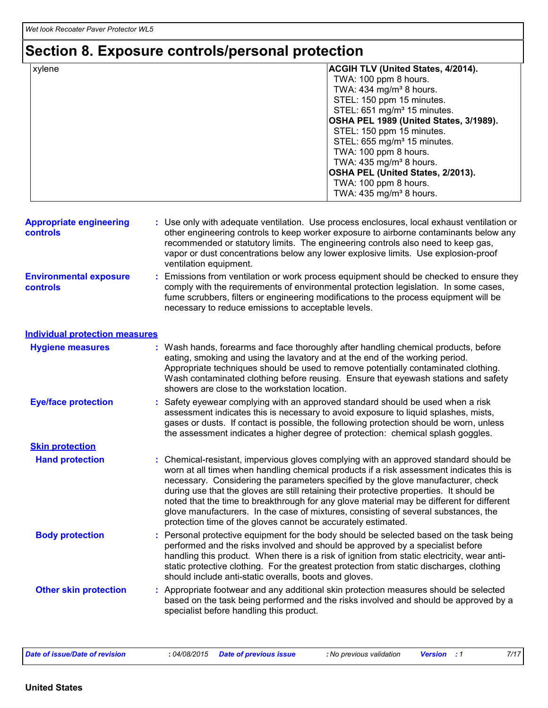### **Section 8. Exposure controls/personal protection**

| xylene | <b>ACGIH TLV (United States, 4/2014).</b> |
|--------|-------------------------------------------|
|        | TWA: 100 ppm 8 hours.                     |
|        | TWA: $434$ mg/m <sup>3</sup> 8 hours.     |
|        | STEL: 150 ppm 15 minutes.                 |
|        | STEL: 651 mg/m <sup>3</sup> 15 minutes.   |
|        | OSHA PEL 1989 (United States, 3/1989).    |
|        | STEL: 150 ppm 15 minutes.                 |
|        | STEL: 655 mg/m <sup>3</sup> 15 minutes.   |
|        | TWA: 100 ppm 8 hours.                     |
|        | TWA: $435 \text{ mg/m}^3$ 8 hours.        |
|        | OSHA PEL (United States, 2/2013).         |
|        | TWA: 100 ppm 8 hours.                     |
|        | TWA: $435 \text{ mg/m}^3$ 8 hours.        |

| <b>Appropriate engineering</b><br><b>controls</b> | : Use only with adequate ventilation. Use process enclosures, local exhaust ventilation or<br>other engineering controls to keep worker exposure to airborne contaminants below any<br>recommended or statutory limits. The engineering controls also need to keep gas,<br>vapor or dust concentrations below any lower explosive limits. Use explosion-proof<br>ventilation equipment. |
|---------------------------------------------------|-----------------------------------------------------------------------------------------------------------------------------------------------------------------------------------------------------------------------------------------------------------------------------------------------------------------------------------------------------------------------------------------|
|                                                   |                                                                                                                                                                                                                                                                                                                                                                                         |

**Environmental exposure controls :** Emissions from ventilation or work process equipment should be checked to ensure they comply with the requirements of environmental protection legislation. In some cases, fume scrubbers, filters or engineering modifications to the process equipment will be necessary to reduce emissions to acceptable levels.

| <b>Hygiene measures</b>      | : Wash hands, forearms and face thoroughly after handling chemical products, before<br>eating, smoking and using the lavatory and at the end of the working period.<br>Appropriate techniques should be used to remove potentially contaminated clothing.<br>Wash contaminated clothing before reusing. Ensure that eyewash stations and safety<br>showers are close to the workstation location.                                                                                                                                                                                                                      |
|------------------------------|------------------------------------------------------------------------------------------------------------------------------------------------------------------------------------------------------------------------------------------------------------------------------------------------------------------------------------------------------------------------------------------------------------------------------------------------------------------------------------------------------------------------------------------------------------------------------------------------------------------------|
| <b>Eye/face protection</b>   | : Safety eyewear complying with an approved standard should be used when a risk<br>assessment indicates this is necessary to avoid exposure to liquid splashes, mists,<br>gases or dusts. If contact is possible, the following protection should be worn, unless<br>the assessment indicates a higher degree of protection: chemical splash goggles.                                                                                                                                                                                                                                                                  |
| <b>Skin protection</b>       |                                                                                                                                                                                                                                                                                                                                                                                                                                                                                                                                                                                                                        |
| <b>Hand protection</b>       | : Chemical-resistant, impervious gloves complying with an approved standard should be<br>worn at all times when handling chemical products if a risk assessment indicates this is<br>necessary. Considering the parameters specified by the glove manufacturer, check<br>during use that the gloves are still retaining their protective properties. It should be<br>noted that the time to breakthrough for any glove material may be different for different<br>glove manufacturers. In the case of mixtures, consisting of several substances, the<br>protection time of the gloves cannot be accurately estimated. |
| <b>Body protection</b>       | : Personal protective equipment for the body should be selected based on the task being<br>performed and the risks involved and should be approved by a specialist before<br>handling this product. When there is a risk of ignition from static electricity, wear anti-<br>static protective clothing. For the greatest protection from static discharges, clothing<br>should include anti-static overalls, boots and gloves.                                                                                                                                                                                         |
| <b>Other skin protection</b> | : Appropriate footwear and any additional skin protection measures should be selected<br>based on the task being performed and the risks involved and should be approved by a<br>specialist before handling this product.                                                                                                                                                                                                                                                                                                                                                                                              |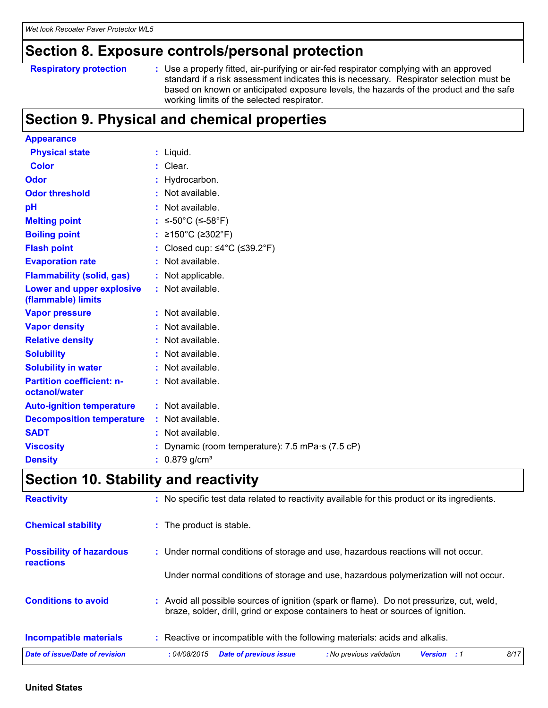### **Section 8. Exposure controls/personal protection**

#### **Respiratory protection :**

Use a properly fitted, air-purifying or air-fed respirator complying with an approved standard if a risk assessment indicates this is necessary. Respirator selection must be based on known or anticipated exposure levels, the hazards of the product and the safe working limits of the selected respirator.

### **Section 9. Physical and chemical properties**

| <b>Appearance</b>                                 |                                                         |
|---------------------------------------------------|---------------------------------------------------------|
| <b>Physical state</b>                             | $:$ Liquid.                                             |
| <b>Color</b>                                      | $:$ Clear.                                              |
| Odor                                              | Hydrocarbon.                                            |
| <b>Odor threshold</b>                             | Not available.<br>÷                                     |
| pH                                                | Not available.                                          |
| <b>Melting point</b>                              | ≤-50°C (≤-58°F)                                         |
| <b>Boiling point</b>                              | ≥150°C (≥302°F)                                         |
| <b>Flash point</b>                                | Closed cup: $\leq 4^{\circ}$ C ( $\leq 39.2^{\circ}$ F) |
| <b>Evaporation rate</b>                           | Not available.<br>÷                                     |
| <b>Flammability (solid, gas)</b>                  | : Not applicable.                                       |
| Lower and upper explosive<br>(flammable) limits   | : Not available.                                        |
| <b>Vapor pressure</b>                             | : Not available.                                        |
| <b>Vapor density</b>                              | Not available.                                          |
| <b>Relative density</b>                           | Not available.                                          |
| <b>Solubility</b>                                 | Not available.                                          |
| <b>Solubility in water</b>                        | Not available.                                          |
| <b>Partition coefficient: n-</b><br>octanol/water | : Not available.                                        |
| <b>Auto-ignition temperature</b>                  | : Not available.                                        |
| <b>Decomposition temperature</b>                  | Not available.                                          |
| <b>SADT</b>                                       | Not available.                                          |
| <b>Viscosity</b>                                  | Dynamic (room temperature): 7.5 mPa s (7.5 cP)          |
| <b>Density</b>                                    | : $0.879$ g/cm <sup>3</sup>                             |

### **Section 10. Stability and reactivity**

| <b>Reactivity</b>                                   | : No specific test data related to reactivity available for this product or its ingredients.                                                                                 |  |  |  |  |
|-----------------------------------------------------|------------------------------------------------------------------------------------------------------------------------------------------------------------------------------|--|--|--|--|
| <b>Chemical stability</b>                           | : The product is stable.                                                                                                                                                     |  |  |  |  |
| <b>Possibility of hazardous</b><br><b>reactions</b> | : Under normal conditions of storage and use, hazardous reactions will not occur.                                                                                            |  |  |  |  |
|                                                     | Under normal conditions of storage and use, hazardous polymerization will not occur.                                                                                         |  |  |  |  |
| <b>Conditions to avoid</b>                          | : Avoid all possible sources of ignition (spark or flame). Do not pressurize, cut, weld,<br>braze, solder, drill, grind or expose containers to heat or sources of ignition. |  |  |  |  |
| <b>Incompatible materials</b>                       | : Reactive or incompatible with the following materials: acids and alkalis.                                                                                                  |  |  |  |  |
| Date of issue/Date of revision                      | 8/17<br><b>Date of previous issue</b><br>: No previous validation<br>:04/08/2015<br><b>Version</b> : 1                                                                       |  |  |  |  |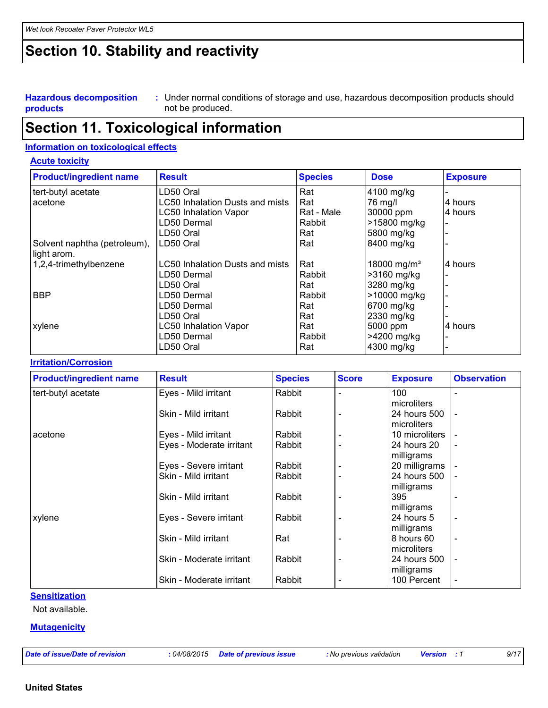### **Section 10. Stability and reactivity**

**Hazardous decomposition products** Under normal conditions of storage and use, hazardous decomposition products should **:** not be produced.

### **Section 11. Toxicological information**

#### **Information on toxicological effects**

#### **Acute toxicity**

| <b>Product/ingredient name</b> | <b>Result</b>                          | <b>Species</b> | <b>Dose</b>             | <b>Exposure</b> |
|--------------------------------|----------------------------------------|----------------|-------------------------|-----------------|
| tert-butyl acetate             | LD50 Oral                              | Rat            | 4100 mg/kg              |                 |
| acetone                        | LC50 Inhalation Dusts and mists        | Rat            | 76 mg/l                 | 4 hours         |
|                                | <b>LC50 Inhalation Vapor</b>           | Rat - Male     | 30000 ppm               | 4 hours         |
|                                | LD50 Dermal                            | Rabbit         | >15800 mg/kg            |                 |
|                                | LD50 Oral                              | Rat            | 5800 mg/kg              |                 |
| Solvent naphtha (petroleum),   | LD50 Oral                              | Rat            | 8400 mg/kg              |                 |
| light arom.                    |                                        |                |                         |                 |
| 1,2,4-trimethylbenzene         | <b>LC50 Inhalation Dusts and mists</b> | Rat            | 18000 mg/m <sup>3</sup> | 4 hours         |
|                                | LD50 Dermal                            | Rabbit         | >3160 mg/kg             |                 |
|                                | LD50 Oral                              | Rat            | 3280 mg/kg              |                 |
| <b>BBP</b>                     | LD50 Dermal                            | Rabbit         | >10000 mg/kg            |                 |
|                                | LD50 Dermal                            | Rat            | 6700 mg/kg              |                 |
|                                | LD50 Oral                              | Rat            | 2330 mg/kg              |                 |
| xylene                         | <b>LC50 Inhalation Vapor</b>           | Rat            | 5000 ppm                | 4 hours         |
|                                | LD50 Dermal                            | Rabbit         | >4200 mg/kg             |                 |
|                                | LD50 Oral                              | Rat            | 4300 mg/kg              |                 |

#### **Irritation/Corrosion**

| <b>Product/ingredient name</b> | <b>Result</b>            | <b>Species</b> | <b>Score</b>             | <b>Exposure</b> | <b>Observation</b>       |
|--------------------------------|--------------------------|----------------|--------------------------|-----------------|--------------------------|
| tert-butyl acetate             | Eyes - Mild irritant     | Rabbit         |                          | 100             | $\blacksquare$           |
|                                |                          |                |                          | microliters     |                          |
|                                | Skin - Mild irritant     | Rabbit         | $\overline{\phantom{0}}$ | 24 hours 500    | $\overline{\phantom{a}}$ |
|                                |                          |                |                          | microliters     |                          |
| acetone                        | Eyes - Mild irritant     | Rabbit         |                          | 10 microliters  |                          |
|                                | Eyes - Moderate irritant | Rabbit         |                          | 24 hours 20     |                          |
|                                |                          |                |                          | milligrams      |                          |
|                                | Eyes - Severe irritant   | Rabbit         |                          | 20 milligrams   |                          |
|                                | Skin - Mild irritant     | Rabbit         |                          | 24 hours 500    |                          |
|                                |                          |                |                          | milligrams      |                          |
|                                | Skin - Mild irritant     | Rabbit         |                          | 395             |                          |
|                                |                          |                |                          | milligrams      |                          |
| xylene                         | Eyes - Severe irritant   | Rabbit         |                          | 24 hours 5      | $\overline{\phantom{a}}$ |
|                                |                          |                |                          | milligrams      |                          |
|                                | Skin - Mild irritant     | Rat            |                          | 8 hours 60      | $\overline{\phantom{a}}$ |
|                                |                          |                |                          | microliters     |                          |
|                                | Skin - Moderate irritant | Rabbit         |                          | 24 hours 500    |                          |
|                                |                          |                |                          | milligrams      |                          |
|                                | Skin - Moderate irritant | Rabbit         |                          | 100 Percent     | $\overline{\phantom{a}}$ |

#### **Sensitization**

Not available.

#### **Mutagenicity**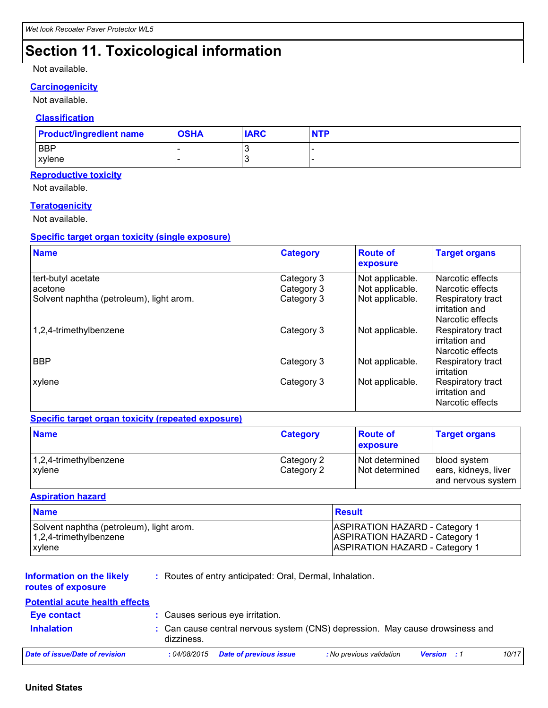### **Section 11. Toxicological information**

#### Not available.

#### **Carcinogenicity**

Not available.

#### **Classification**

| <b>Product/ingredient name</b> | <b>OSHA</b> | <b>IARC</b> | <b>NTP</b> |
|--------------------------------|-------------|-------------|------------|
| <b>BBP</b>                     |             |             |            |
| <b>xylene</b>                  |             | N           |            |

#### **Reproductive toxicity**

Not available.

#### **Teratogenicity**

Not available.

#### **Specific target organ toxicity (single exposure)**

| <b>Name</b>                                                               | <b>Category</b>                        | <b>Route of</b><br>exposure                           | <b>Target organs</b>                                                                            |
|---------------------------------------------------------------------------|----------------------------------------|-------------------------------------------------------|-------------------------------------------------------------------------------------------------|
| tert-butyl acetate<br>acetone<br>Solvent naphtha (petroleum), light arom. | Category 3<br>Category 3<br>Category 3 | Not applicable.<br>Not applicable.<br>Not applicable. | Narcotic effects<br>Narcotic effects<br>Respiratory tract<br>irritation and<br>Narcotic effects |
| 1,2,4-trimethylbenzene                                                    | Category 3                             | Not applicable.                                       | Respiratory tract<br>irritation and<br>Narcotic effects                                         |
| <b>BBP</b>                                                                | Category 3                             | Not applicable.                                       | Respiratory tract<br>irritation                                                                 |
| xylene                                                                    | Category 3                             | Not applicable.                                       | Respiratory tract<br>irritation and<br>Narcotic effects                                         |

#### **Specific target organ toxicity (repeated exposure)**

| <b>Name</b>                          | <b>Category</b>          | <b>Route of</b><br><b>exposure</b> | <b>Target organs</b>                                       |
|--------------------------------------|--------------------------|------------------------------------|------------------------------------------------------------|
| $ 1,2,4$ -trimethylbenzene<br>xylene | Category 2<br>Category 2 | Not determined<br>Not determined   | blood system<br>ears, kidneys, liver<br>and nervous system |

#### **Aspiration hazard**

| <b>Name</b>                                                                | <b>Result</b>                                                           |
|----------------------------------------------------------------------------|-------------------------------------------------------------------------|
| Solvent naphtha (petroleum), light arom.<br>$\vert$ 1,2,4-trimethylbenzene | ASPIRATION HAZARD - Category 1<br><b>ASPIRATION HAZARD - Category 1</b> |
| xylene                                                                     | ASPIRATION HAZARD - Category 1                                          |

#### **Information on the likely routes of exposure**

**:** Routes of entry anticipated: Oral, Dermal, Inhalation.

#### **Potential acute health effects**

| <b>Eve contact</b>             |                                     | : Causes serious eye irritation.                                              |                    |       |
|--------------------------------|-------------------------------------|-------------------------------------------------------------------------------|--------------------|-------|
| <b>Inhalation</b>              | dizziness.                          | : Can cause central nervous system (CNS) depression. May cause drowsiness and |                    |       |
| Date of issue/Date of revision | : 04/08/2015 Date of previous issue | : No previous validation                                                      | <b>Version</b> : 1 | 10/17 |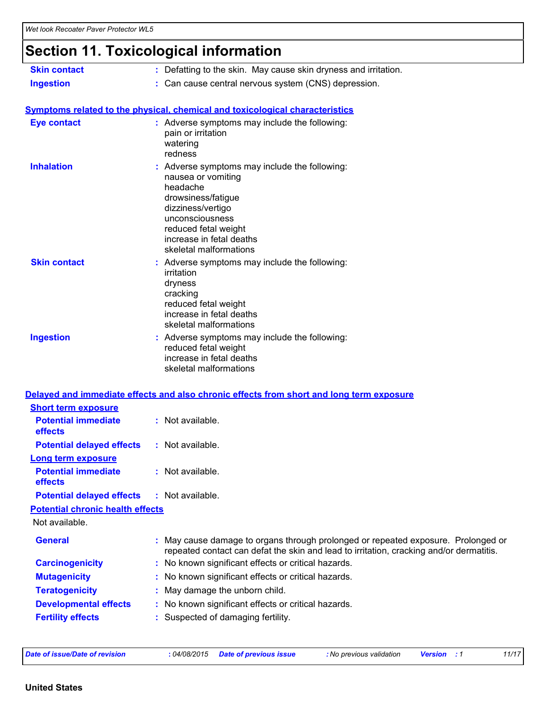# **Section 11. Toxicological information**

| <b>Skin contact</b>                                       | : Defatting to the skin. May cause skin dryness and irritation.                                                                                                                                                             |
|-----------------------------------------------------------|-----------------------------------------------------------------------------------------------------------------------------------------------------------------------------------------------------------------------------|
| <b>Ingestion</b>                                          | : Can cause central nervous system (CNS) depression.                                                                                                                                                                        |
|                                                           |                                                                                                                                                                                                                             |
|                                                           | Symptoms related to the physical, chemical and toxicological characteristics                                                                                                                                                |
| <b>Eye contact</b>                                        | : Adverse symptoms may include the following:<br>pain or irritation<br>watering<br>redness                                                                                                                                  |
| <b>Inhalation</b>                                         | : Adverse symptoms may include the following:<br>nausea or vomiting<br>headache<br>drowsiness/fatigue<br>dizziness/vertigo<br>unconsciousness<br>reduced fetal weight<br>increase in fetal deaths<br>skeletal malformations |
| <b>Skin contact</b>                                       | : Adverse symptoms may include the following:<br>irritation<br>dryness<br>cracking<br>reduced fetal weight<br>increase in fetal deaths<br>skeletal malformations                                                            |
| <b>Ingestion</b>                                          | : Adverse symptoms may include the following:<br>reduced fetal weight<br>increase in fetal deaths<br>skeletal malformations                                                                                                 |
|                                                           | Delayed and immediate effects and also chronic effects from short and long term exposure                                                                                                                                    |
| <b>Short term exposure</b>                                |                                                                                                                                                                                                                             |
| <b>Potential immediate</b>                                | : Not available.                                                                                                                                                                                                            |
| effects                                                   |                                                                                                                                                                                                                             |
| <b>Potential delayed effects</b>                          | : Not available.                                                                                                                                                                                                            |
| <b>Long term exposure</b>                                 |                                                                                                                                                                                                                             |
| <b>Potential immediate</b><br>effects                     | : Not available.                                                                                                                                                                                                            |
| <b>Potential delayed effects</b>                          | $:$ Not available.                                                                                                                                                                                                          |
| <b>Potential chronic health effects</b><br>Not available. |                                                                                                                                                                                                                             |
| <b>General</b>                                            | May cause damage to organs through prolonged or repeated exposure. Prolonged or<br>repeated contact can defat the skin and lead to irritation, cracking and/or dermatitis.                                                  |
| <b>Carcinogenicity</b>                                    | : No known significant effects or critical hazards.                                                                                                                                                                         |
| <b>Mutagenicity</b>                                       | No known significant effects or critical hazards.<br>÷.                                                                                                                                                                     |
| <b>Teratogenicity</b>                                     | May damage the unborn child.<br>÷                                                                                                                                                                                           |
| <b>Developmental effects</b>                              | No known significant effects or critical hazards.                                                                                                                                                                           |
| <b>Fertility effects</b>                                  | Suspected of damaging fertility.                                                                                                                                                                                            |
|                                                           |                                                                                                                                                                                                                             |

*Date of issue/Date of revision* **:** *04/08/2015 Date of previous issue : No previous validation Version : 1 11/17*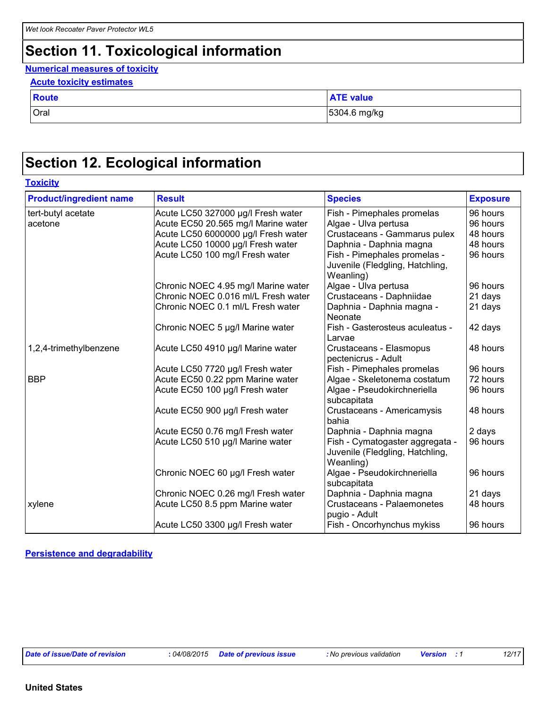### **Section 11. Toxicological information**

#### **Numerical measures of toxicity**

| <b>Acute toxicity estimates</b> |  |
|---------------------------------|--|
|---------------------------------|--|

| <b>Route</b> | <b>TE</b> value |
|--------------|-----------------|
| Oral         | 5304.6 mg/kg    |

### **Section 12. Ecological information**

| <b>Toxicity</b>                |                                     |                                                                                 |                 |  |
|--------------------------------|-------------------------------------|---------------------------------------------------------------------------------|-----------------|--|
| <b>Product/ingredient name</b> | <b>Result</b>                       | <b>Species</b>                                                                  | <b>Exposure</b> |  |
| tert-butyl acetate             | Acute LC50 327000 µg/l Fresh water  | Fish - Pimephales promelas                                                      | 96 hours        |  |
| acetone                        | Acute EC50 20.565 mg/l Marine water | Algae - Ulva pertusa                                                            | 96 hours        |  |
|                                | Acute LC50 6000000 µg/l Fresh water | Crustaceans - Gammarus pulex                                                    | 48 hours        |  |
|                                | Acute LC50 10000 µg/l Fresh water   | Daphnia - Daphnia magna                                                         | 48 hours        |  |
|                                | Acute LC50 100 mg/l Fresh water     | Fish - Pimephales promelas -<br>Juvenile (Fledgling, Hatchling,<br>Weanling)    | 96 hours        |  |
|                                | Chronic NOEC 4.95 mg/l Marine water | Algae - Ulva pertusa                                                            | 96 hours        |  |
|                                | Chronic NOEC 0.016 ml/L Fresh water | Crustaceans - Daphniidae                                                        | 21 days         |  |
|                                | Chronic NOEC 0.1 ml/L Fresh water   | Daphnia - Daphnia magna -<br>Neonate                                            | 21 days         |  |
|                                | Chronic NOEC 5 µg/l Marine water    | Fish - Gasterosteus aculeatus -<br>Larvae                                       | 42 days         |  |
| 1,2,4-trimethylbenzene         | Acute LC50 4910 µg/l Marine water   | Crustaceans - Elasmopus<br>pectenicrus - Adult                                  | 48 hours        |  |
|                                | Acute LC50 7720 µg/l Fresh water    | Fish - Pimephales promelas                                                      | 96 hours        |  |
| <b>BBP</b>                     | Acute EC50 0.22 ppm Marine water    | Algae - Skeletonema costatum                                                    | 72 hours        |  |
|                                | Acute EC50 100 µg/l Fresh water     | Algae - Pseudokirchneriella<br>subcapitata                                      | 96 hours        |  |
|                                | Acute EC50 900 µg/l Fresh water     | Crustaceans - Americamysis<br>bahia                                             | 48 hours        |  |
|                                | Acute EC50 0.76 mg/l Fresh water    | Daphnia - Daphnia magna                                                         | 2 days          |  |
|                                | Acute LC50 510 µg/l Marine water    | Fish - Cymatogaster aggregata -<br>Juvenile (Fledgling, Hatchling,<br>Weanling) | 96 hours        |  |
|                                | Chronic NOEC 60 µg/l Fresh water    | Algae - Pseudokirchneriella<br>subcapitata                                      | 96 hours        |  |
|                                | Chronic NOEC 0.26 mg/l Fresh water  | Daphnia - Daphnia magna                                                         | 21 days         |  |
| xylene                         | Acute LC50 8.5 ppm Marine water     | Crustaceans - Palaemonetes<br>pugio - Adult                                     | 48 hours        |  |
|                                | Acute LC50 3300 µg/l Fresh water    | Fish - Oncorhynchus mykiss                                                      | 96 hours        |  |

#### **Persistence and degradability**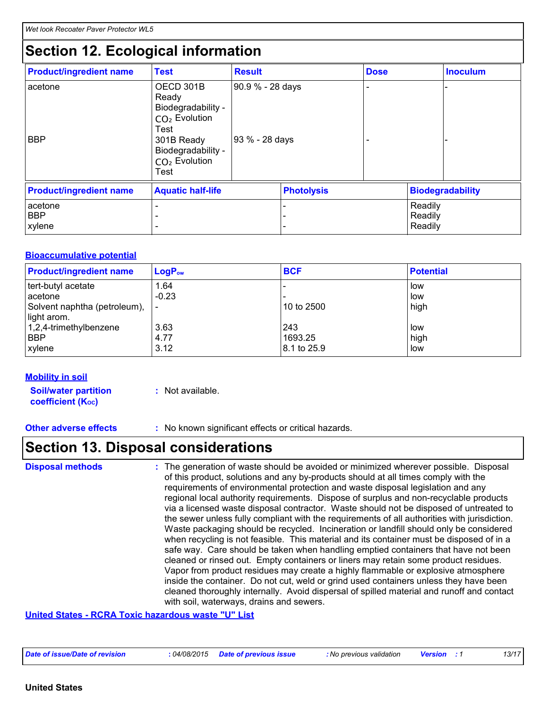### **Section 12. Ecological information**

| <b>Product/ingredient name</b>  | <b>Test</b>                                                                                                                                            | <b>Result</b>                      |        | <b>Dose</b> |                               | Inoculum                |
|---------------------------------|--------------------------------------------------------------------------------------------------------------------------------------------------------|------------------------------------|--------|-------------|-------------------------------|-------------------------|
| acetone<br><b>BBP</b>           | OECD 301B<br>Ready<br>Biodegradability -<br>CO <sub>2</sub> Evolution<br>Test<br>301B Ready<br>Biodegradability -<br>CO <sub>2</sub> Evolution<br>Test | 90.9 % - 28 days<br>93 % - 28 days |        |             |                               |                         |
| <b>Product/ingredient name</b>  | <b>Aquatic half-life</b>                                                                                                                               |                                    |        |             |                               | <b>Biodegradability</b> |
| acetone<br><b>BBP</b><br>xylene |                                                                                                                                                        |                                    | -<br>۰ |             | Readily<br>Readily<br>Readily |                         |

#### **Bioaccumulative potential**

| <b>Product/ingredient name</b> | $LogP_{ow}$ | <b>BCF</b>  | <b>Potential</b> |
|--------------------------------|-------------|-------------|------------------|
| tert-butyl acetate             | 1.64        |             | low              |
| acetone                        | $-0.23$     |             | low              |
| Solvent naphtha (petroleum),   |             | 10 to 2500  | high             |
| light arom.                    |             |             |                  |
| 1,2,4-trimethylbenzene         | 3.63        | 243         | low              |
| <b>BBP</b>                     | 4.77        | 1693.25     | high             |
| xylene                         | 3.12        | 8.1 to 25.9 | low              |

#### **Mobility in soil**

**Soil/water partition coefficient (Koc)** 

- **:** Not available.
- **Other adverse effects** : No known significant effects or critical hazards.

### **Section 13. Disposal considerations**

The generation of waste should be avoided or minimized wherever possible. Disposal of this product, solutions and any by-products should at all times comply with the requirements of environmental protection and waste disposal legislation and any regional local authority requirements. Dispose of surplus and non-recyclable products via a licensed waste disposal contractor. Waste should not be disposed of untreated to the sewer unless fully compliant with the requirements of all authorities with jurisdiction. Waste packaging should be recycled. Incineration or landfill should only be considered when recycling is not feasible. This material and its container must be disposed of in a safe way. Care should be taken when handling emptied containers that have not been cleaned or rinsed out. Empty containers or liners may retain some product residues. Vapor from product residues may create a highly flammable or explosive atmosphere inside the container. Do not cut, weld or grind used containers unless they have been cleaned thoroughly internally. Avoid dispersal of spilled material and runoff and contact with soil, waterways, drains and sewers. **Disposal methods :**

#### **United States - RCRA Toxic hazardous waste "U" List**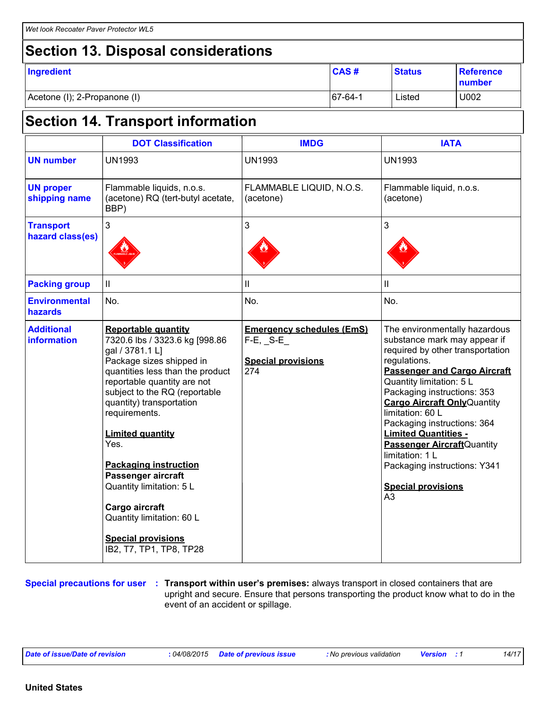### **Section 13. Disposal considerations**

| Ingredient                   | <b>CAS#</b>    | <b>Status</b> | Reference<br>number |
|------------------------------|----------------|---------------|---------------------|
| Acetone (I); 2-Propanone (I) | $167 - 64 - 1$ | Listed        | U002                |

# **Section 14. Transport information**

|                                         | <b>DOT Classification</b>                                                                                                                                                                                                                                                                                                                                                                                                                                                                | <b>IMDG</b>                                                                         | <b>IATA</b>                                                                                                                                                                                                                                                                                                                                                                                                                                                                          |
|-----------------------------------------|------------------------------------------------------------------------------------------------------------------------------------------------------------------------------------------------------------------------------------------------------------------------------------------------------------------------------------------------------------------------------------------------------------------------------------------------------------------------------------------|-------------------------------------------------------------------------------------|--------------------------------------------------------------------------------------------------------------------------------------------------------------------------------------------------------------------------------------------------------------------------------------------------------------------------------------------------------------------------------------------------------------------------------------------------------------------------------------|
| <b>UN number</b>                        | <b>UN1993</b>                                                                                                                                                                                                                                                                                                                                                                                                                                                                            | <b>UN1993</b>                                                                       | <b>UN1993</b>                                                                                                                                                                                                                                                                                                                                                                                                                                                                        |
| <b>UN proper</b><br>shipping name       | Flammable liquids, n.o.s.<br>(acetone) RQ (tert-butyl acetate,<br>BBP)                                                                                                                                                                                                                                                                                                                                                                                                                   | FLAMMABLE LIQUID, N.O.S.<br>(acetone)                                               | Flammable liquid, n.o.s.<br>(acetone)                                                                                                                                                                                                                                                                                                                                                                                                                                                |
| <b>Transport</b><br>hazard class(es)    | 3                                                                                                                                                                                                                                                                                                                                                                                                                                                                                        | 3                                                                                   | 3                                                                                                                                                                                                                                                                                                                                                                                                                                                                                    |
| <b>Packing group</b>                    | $\rm{II}$                                                                                                                                                                                                                                                                                                                                                                                                                                                                                | Ш                                                                                   | Ш                                                                                                                                                                                                                                                                                                                                                                                                                                                                                    |
| <b>Environmental</b><br>hazards         | No.                                                                                                                                                                                                                                                                                                                                                                                                                                                                                      | No.                                                                                 | No.                                                                                                                                                                                                                                                                                                                                                                                                                                                                                  |
| <b>Additional</b><br><b>information</b> | <b>Reportable quantity</b><br>7320.6 lbs / 3323.6 kg [998.86<br>gal / 3781.1 L]<br>Package sizes shipped in<br>quantities less than the product<br>reportable quantity are not<br>subject to the RQ (reportable<br>quantity) transportation<br>requirements.<br><b>Limited quantity</b><br>Yes.<br><b>Packaging instruction</b><br>Passenger aircraft<br>Quantity limitation: 5 L<br>Cargo aircraft<br>Quantity limitation: 60 L<br><b>Special provisions</b><br>IB2, T7, TP1, TP8, TP28 | <b>Emergency schedules (EmS)</b><br>$F-E$ , S-E<br><b>Special provisions</b><br>274 | The environmentally hazardous<br>substance mark may appear if<br>required by other transportation<br>regulations.<br><b>Passenger and Cargo Aircraft</b><br>Quantity limitation: 5 L<br>Packaging instructions: 353<br><b>Cargo Aircraft Only Quantity</b><br>limitation: 60 L<br>Packaging instructions: 364<br><b>Limited Quantities -</b><br><b>Passenger Aircraft</b> Quantity<br>limitation: 1 L<br>Packaging instructions: Y341<br><b>Special provisions</b><br>A <sub>3</sub> |

**Special precautions for user Transport within user's premises:** always transport in closed containers that are **:** upright and secure. Ensure that persons transporting the product know what to do in the event of an accident or spillage.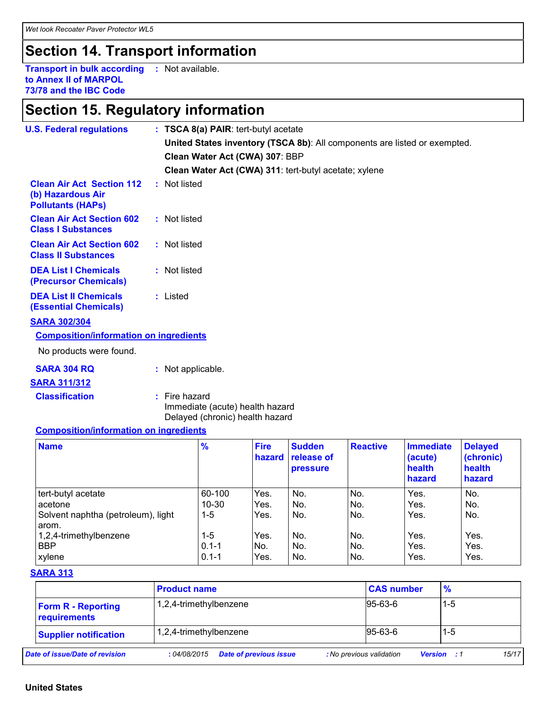### **Section 14. Transport information**

**Transport in bulk according :** Not available. **to Annex II of MARPOL 73/78 and the IBC Code**

# **Section 15. Regulatory information**

| <b>U.S. Federal regulations</b>                                                   |  | : TSCA 8(a) PAIR: tert-butyl acetate                                                |                       |                                         |                 |                                                 |                                                 |  |
|-----------------------------------------------------------------------------------|--|-------------------------------------------------------------------------------------|-----------------------|-----------------------------------------|-----------------|-------------------------------------------------|-------------------------------------------------|--|
|                                                                                   |  | United States inventory (TSCA 8b): All components are listed or exempted.           |                       |                                         |                 |                                                 |                                                 |  |
|                                                                                   |  | Clean Water Act (CWA) 307: BBP                                                      |                       |                                         |                 |                                                 |                                                 |  |
|                                                                                   |  | Clean Water Act (CWA) 311: tert-butyl acetate; xylene                               |                       |                                         |                 |                                                 |                                                 |  |
| <b>Clean Air Act Section 112</b><br>(b) Hazardous Air<br><b>Pollutants (HAPs)</b> |  | : Not listed                                                                        |                       |                                         |                 |                                                 |                                                 |  |
| <b>Clean Air Act Section 602</b><br><b>Class I Substances</b>                     |  | : Not listed                                                                        |                       |                                         |                 |                                                 |                                                 |  |
| <b>Clean Air Act Section 602</b><br><b>Class II Substances</b>                    |  | : Not listed                                                                        |                       |                                         |                 |                                                 |                                                 |  |
| <b>DEA List I Chemicals</b><br>(Precursor Chemicals)                              |  | : Not listed                                                                        |                       |                                         |                 |                                                 |                                                 |  |
| <b>DEA List II Chemicals</b><br><b>(Essential Chemicals)</b>                      |  | : Listed                                                                            |                       |                                         |                 |                                                 |                                                 |  |
| <b>SARA 302/304</b>                                                               |  |                                                                                     |                       |                                         |                 |                                                 |                                                 |  |
| <b>Composition/information on ingredients</b>                                     |  |                                                                                     |                       |                                         |                 |                                                 |                                                 |  |
| No products were found.                                                           |  |                                                                                     |                       |                                         |                 |                                                 |                                                 |  |
| <b>SARA 304 RQ</b>                                                                |  | : Not applicable.                                                                   |                       |                                         |                 |                                                 |                                                 |  |
| <b>SARA 311/312</b>                                                               |  |                                                                                     |                       |                                         |                 |                                                 |                                                 |  |
| <b>Classification</b>                                                             |  | : Fire hazard<br>Immediate (acute) health hazard<br>Delayed (chronic) health hazard |                       |                                         |                 |                                                 |                                                 |  |
| <b>Composition/information on ingredients</b>                                     |  |                                                                                     |                       |                                         |                 |                                                 |                                                 |  |
| <b>Name</b>                                                                       |  | %                                                                                   | <b>Fire</b><br>hazard | <b>Sudden</b><br>release of<br>pressure | <b>Reactive</b> | <b>Immediate</b><br>(acute)<br>health<br>hazard | <b>Delayed</b><br>(chronic)<br>health<br>hazard |  |
| tert-butyl acetate<br>acetone                                                     |  | 60-100<br>$10 - 30$                                                                 | Yes.<br>Yes.          | No.<br>No.                              | No.<br>No.      | Yes.<br>Yes.                                    | No.<br>No.                                      |  |

| acetone                            | $10 - 30$ | Yes. | No. | No. | Yes. | No.  |  |
|------------------------------------|-----------|------|-----|-----|------|------|--|
| Solvent naphtha (petroleum), light | 1-5       | Yes. | No. | No. | Yes. | No.  |  |
| arom.                              |           |      |     |     |      |      |  |
| 1,2,4-trimethylbenzene             | $1 - 5$   | Yes. | No. | No. | Yes. | Yes. |  |
| <b>BBP</b>                         | $0.1 - 1$ | No.  | No. | No. | Yes. | Yes. |  |
| xylene                             | $0.1 - 1$ | Yes. | No. | No. | Yes. | Yes. |  |

#### **SARA 313**

|                                           | <b>Product name</b>                           | <b>CAS number</b>        | $\frac{9}{6}$      |       |  |
|-------------------------------------------|-----------------------------------------------|--------------------------|--------------------|-------|--|
| <b>Form R - Reporting</b><br>requirements | 1,2,4-trimethylbenzene                        | $95-63-6$                | $1 - 5$            |       |  |
| <b>Supplier notification</b>              | 1,2,4-trimethylbenzene                        | $95-63-6$                | 1-5                |       |  |
| Date of issue/Date of revision            | <b>Date of previous issue</b><br>: 04/08/2015 | : No previous validation | <b>Version</b> : 1 | 15/17 |  |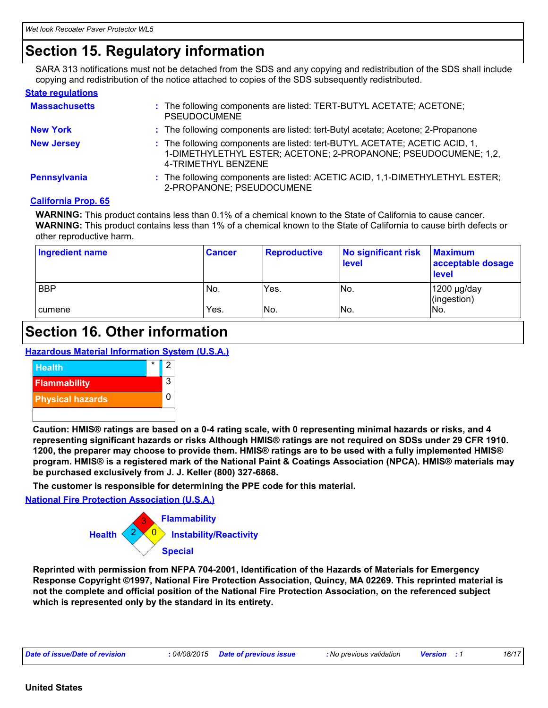### **Section 15. Regulatory information**

SARA 313 notifications must not be detached from the SDS and any copying and redistribution of the SDS shall include copying and redistribution of the notice attached to copies of the SDS subsequently redistributed.

#### **State regulations**

| <b>Massachusetts</b> | : The following components are listed: TERT-BUTYL ACETATE; ACETONE;<br><b>PSEUDOCUMENE</b>                                                                           |
|----------------------|----------------------------------------------------------------------------------------------------------------------------------------------------------------------|
| <b>New York</b>      | : The following components are listed: tert-Butyl acetate; Acetone; 2-Propanone                                                                                      |
| <b>New Jersey</b>    | : The following components are listed: tert-BUTYL ACETATE; ACETIC ACID, 1,<br>1-DIMETHYLETHYL ESTER; ACETONE; 2-PROPANONE; PSEUDOCUMENE; 1,2,<br>4-TRIMETHYL BENZENE |
| Pennsylvania         | : The following components are listed: ACETIC ACID, 1,1-DIMETHYLETHYL ESTER;<br>2-PROPANONE; PSEUDOCUMENE                                                            |

#### **California Prop. 65**

**WARNING:** This product contains less than 0.1% of a chemical known to the State of California to cause cancer. **WARNING:** This product contains less than 1% of a chemical known to the State of California to cause birth defects or other reproductive harm.

| <b>Ingredient name</b> | ∣ Cancer | <b>Reproductive</b> | No significant risk<br>level | <b>Maximum</b><br>acceptable dosage<br><b>level</b> |
|------------------------|----------|---------------------|------------------------------|-----------------------------------------------------|
| <b>BBP</b>             | No.      | Yes.                | No.                          | 1200 µg/day<br>(ingestion)                          |
| cumene                 | Yes.     | No.                 | No.                          | No.                                                 |

### **Section 16. Other information**

**Hazardous Material Information System (U.S.A.)**



**Caution: HMIS® ratings are based on a 0-4 rating scale, with 0 representing minimal hazards or risks, and 4 representing significant hazards or risks Although HMIS® ratings are not required on SDSs under 29 CFR 1910. 1200, the preparer may choose to provide them. HMIS® ratings are to be used with a fully implemented HMIS® program. HMIS® is a registered mark of the National Paint & Coatings Association (NPCA). HMIS® materials may be purchased exclusively from J. J. Keller (800) 327-6868.**

**The customer is responsible for determining the PPE code for this material.**

**National Fire Protection Association (U.S.A.)**



**Reprinted with permission from NFPA 704-2001, Identification of the Hazards of Materials for Emergency Response Copyright ©1997, National Fire Protection Association, Quincy, MA 02269. This reprinted material is not the complete and official position of the National Fire Protection Association, on the referenced subject which is represented only by the standard in its entirety.**